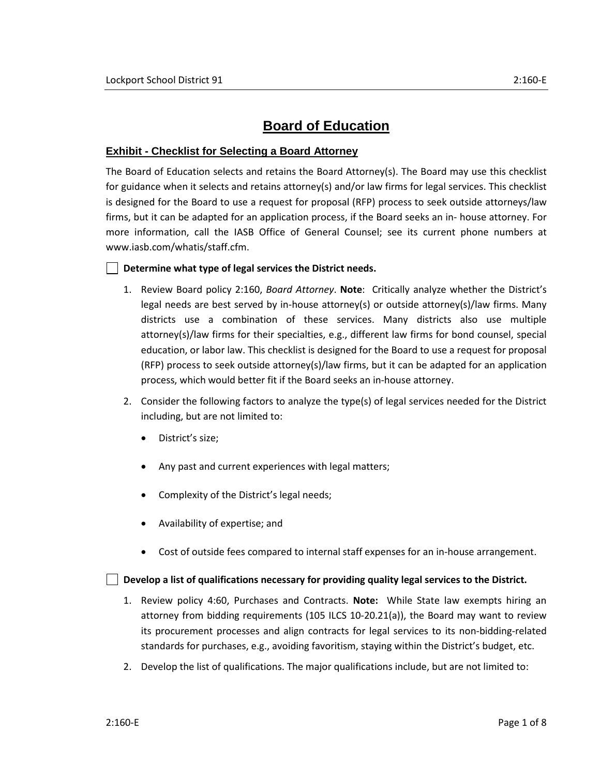# **Board of Education**

### **Exhibit - Checklist for Selecting a Board Attorney**

The Board of Education selects and retains the Board Attorney(s). The Board may use this checklist for guidance when it selects and retains attorney(s) and/or law firms for legal services. This checklist is designed for the Board to use a request for proposal (RFP) process to seek outside attorneys/law firms, but it can be adapted for an application process, if the Board seeks an in- house attorney. For more information, call the IASB Office of General Counsel; see its current phone numbers at [www.iasb.com/whatis/staff.cfm.](http://www.iasb.com/whatis/staff.cfm)

#### **Determine what type of legal services the District needs.**

- 1. Review Board policy 2:160, *Board Attorney*. **Note**: Critically analyze whether the District's legal needs are best served by in-house attorney(s) or outside attorney(s)/law firms. Many districts use a combination of these services. Many districts also use multiple attorney(s)/law firms for their specialties, e.g., different law firms for bond counsel, special education, or labor law. This checklist is designed for the Board to use a request for proposal (RFP) process to seek outside attorney(s)/law firms, but it can be adapted for an application process, which would better fit if the Board seeks an in-house attorney.
- 2. Consider the following factors to analyze the type(s) of legal services needed for the District including, but are not limited to:
	- District's size;
	- Any past and current experiences with legal matters;
	- Complexity of the District's legal needs;
	- Availability of expertise; and
	- Cost of outside fees compared to internal staff expenses for an in-house arrangement.

#### **Develop a list of qualifications necessary for providing quality legal services to the District.**

- 1. Review policy 4:60, Purchases and Contracts. **Note:** While State law exempts hiring an attorney from bidding requirements (105 ILCS 10-20.21(a)), the Board may want to review its procurement processes and align contracts for legal services to its non-bidding-related standards for purchases, e.g., avoiding favoritism, staying within the District's budget, etc.
- 2. Develop the list of qualifications. The major qualifications include, but are not limited to: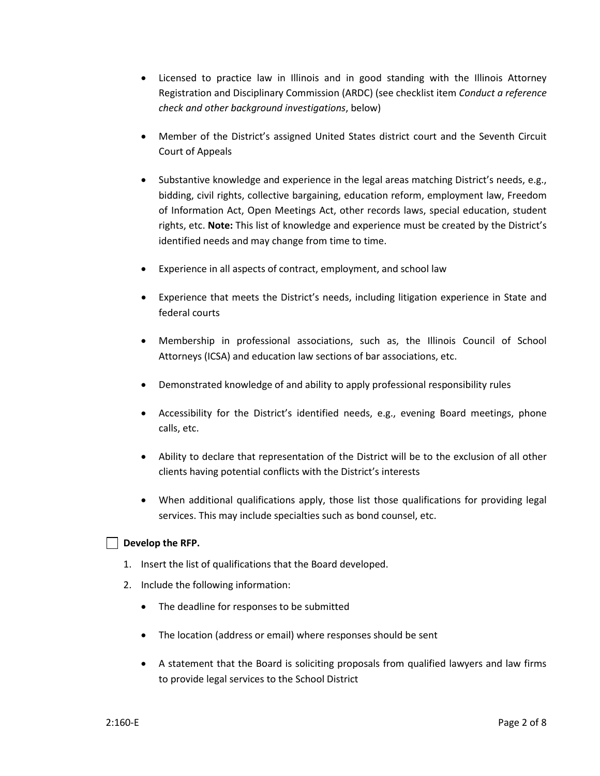- Licensed to practice law in Illinois and in good standing with the Illinois Attorney Registration and Disciplinary Commission (ARDC) (see checklist item *Conduct a reference check and other background investigations*, below)
- Member of the District's assigned United States district court and the Seventh Circuit Court of Appeals
- Substantive knowledge and experience in the legal areas matching District's needs, e.g., bidding, civil rights, collective bargaining, education reform, employment law, Freedom of Information Act, Open Meetings Act, other records laws, special education, student rights, etc. **Note:** This list of knowledge and experience must be created by the District's identified needs and may change from time to time.
- Experience in all aspects of contract, employment, and school law
- Experience that meets the District's needs, including litigation experience in State and federal courts
- Membership in professional associations, such as, the Illinois Council of School Attorneys (ICSA) and education law sections of bar associations, etc.
- Demonstrated knowledge of and ability to apply professional responsibility rules
- Accessibility for the District's identified needs, e.g., evening Board meetings, phone calls, etc.
- Ability to declare that representation of the District will be to the exclusion of all other clients having potential conflicts with the District's interests
- When additional qualifications apply, those list those qualifications for providing legal services. This may include specialties such as bond counsel, etc.

#### **Develop the RFP.**

- 1. Insert the list of qualifications that the Board developed.
- 2. Include the following information:
	- The deadline for responses to be submitted
	- The location (address or email) where responses should be sent
	- A statement that the Board is soliciting proposals from qualified lawyers and law firms to provide legal services to the School District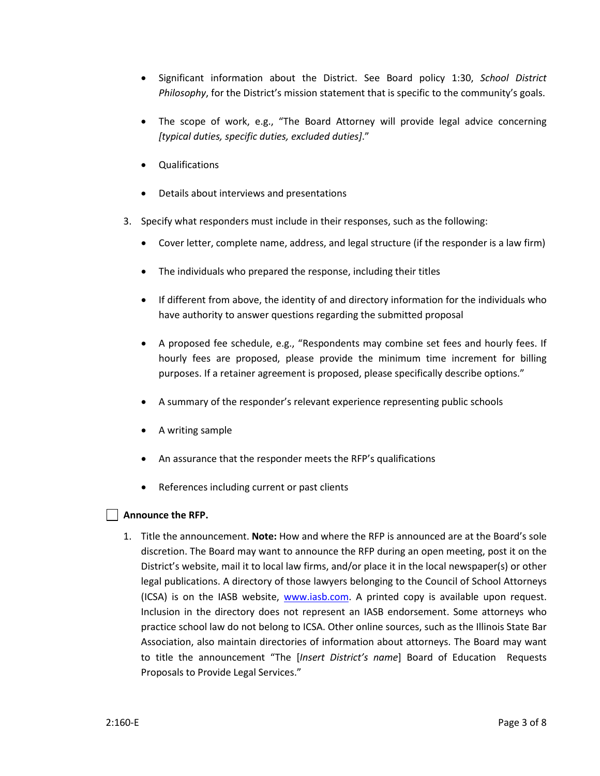- Significant information about the District. See Board policy 1:30, *School District Philosophy*, for the District's mission statement that is specific to the community's goals.
- The scope of work, e.g., "The Board Attorney will provide legal advice concerning *[typical duties, specific duties, excluded duties]*."
- Qualifications
- Details about interviews and presentations
- 3. Specify what responders must include in their responses, such as the following:
	- Cover letter, complete name, address, and legal structure (if the responder is a law firm)
	- The individuals who prepared the response, including their titles
	- If different from above, the identity of and directory information for the individuals who have authority to answer questions regarding the submitted proposal
	- A proposed fee schedule, e.g., "Respondents may combine set fees and hourly fees. If hourly fees are proposed, please provide the minimum time increment for billing purposes. If a retainer agreement is proposed, please specifically describe options."
	- A summary of the responder's relevant experience representing public schools
	- A writing sample
	- An assurance that the responder meets the RFP's qualifications
	- References including current or past clients

#### **Announce the RFP.**

1. Title the announcement. **Note:** How and where the RFP is announced are at the Board's sole discretion. The Board may want to announce the RFP during an open meeting, post it on the District's website, mail it to local law firms, and/or place it in the local newspaper(s) or other legal publications. A directory of those lawyers belonging to the Council of School Attorneys (ICSA) is on the IASB website, [www.iasb.com.](http://www.iasb.com/) A printed copy is available upon request. Inclusion in the directory does not represent an IASB endorsement. Some attorneys who practice school law do not belong to ICSA. Other online sources, such as the Illinois State Bar Association, also maintain directories of information about attorneys. The Board may want to title the announcement "The [*Insert District's name*] Board of Education Requests Proposals to Provide Legal Services."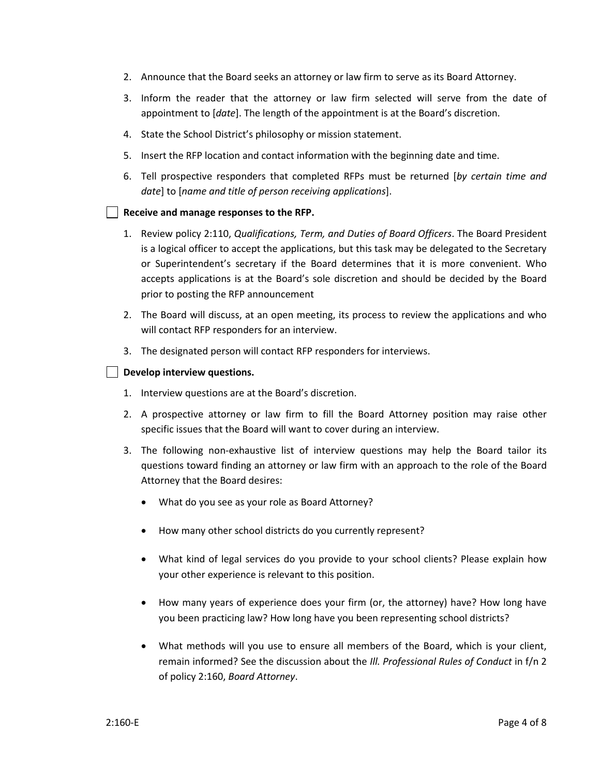- 2. Announce that the Board seeks an attorney or law firm to serve as its Board Attorney.
- 3. Inform the reader that the attorney or law firm selected will serve from the date of appointment to [*date*]. The length of the appointment is at the Board's discretion.
- 4. State the School District's philosophy or mission statement.
- 5. Insert the RFP location and contact information with the beginning date and time.
- 6. Tell prospective responders that completed RFPs must be returned [*by certain time and date*] to [*name and title of person receiving applications*].

#### **Receive and manage responses to the RFP.**

- 1. Review policy 2:110, *Qualifications, Term, and Duties of Board Officers*. The Board President is a logical officer to accept the applications, but this task may be delegated to the Secretary or Superintendent's secretary if the Board determines that it is more convenient. Who accepts applications is at the Board's sole discretion and should be decided by the Board prior to posting the RFP announcement
- 2. The Board will discuss, at an open meeting, its process to review the applications and who will contact RFP responders for an interview.
- 3. The designated person will contact RFP responders for interviews.

## **Develop interview questions.**

- 1. Interview questions are at the Board's discretion.
- 2. A prospective attorney or law firm to fill the Board Attorney position may raise other specific issues that the Board will want to cover during an interview.
- 3. The following non-exhaustive list of interview questions may help the Board tailor its questions toward finding an attorney or law firm with an approach to the role of the Board Attorney that the Board desires:
	- What do you see as your role as Board Attorney?
	- How many other school districts do you currently represent?
	- What kind of legal services do you provide to your school clients? Please explain how your other experience is relevant to this position.
	- How many years of experience does your firm (or, the attorney) have? How long have you been practicing law? How long have you been representing school districts?
	- What methods will you use to ensure all members of the Board, which is your client, remain informed? See the discussion about the *Ill. Professional Rules of Conduct* in f/n 2 of policy 2:160, *Board Attorney*.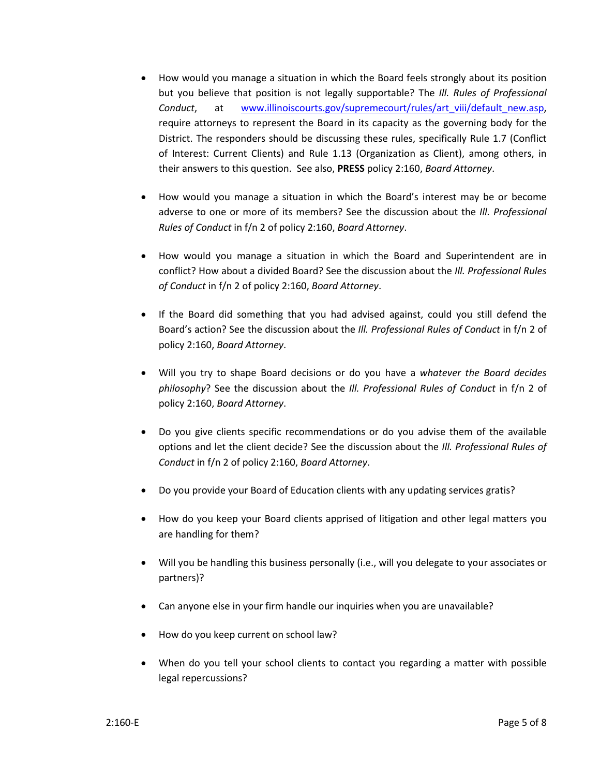- How would you manage a situation in which the Board feels strongly about its position but you believe that position is not legally supportable? The *Ill. Rules of Professional Conduct*, at [www.illinoiscourts.gov/supremecourt/rules/art\\_viii/default\\_new.asp,](http://www.illinoiscourts.gov/supremecourt/rules/art_viii/default_new.asp) require attorneys to represent the Board in its capacity as the governing body for the District. The responders should be discussing these rules, specifically Rule 1.7 (Conflict of Interest: Current Clients) and Rule 1.13 (Organization as Client), among others, in their answers to this question. See also, **PRESS** policy 2:160, *Board Attorney*.
- How would you manage a situation in which the Board's interest may be or become adverse to one or more of its members? See the discussion about the *Ill. Professional Rules of Conduct* in f/n 2 of policy 2:160, *Board Attorney*.
- How would you manage a situation in which the Board and Superintendent are in conflict? How about a divided Board? See the discussion about the *Ill. Professional Rules of Conduct* in f/n 2 of policy 2:160, *Board Attorney*.
- If the Board did something that you had advised against, could you still defend the Board's action? See the discussion about the *Ill. Professional Rules of Conduct* in f/n 2 of policy 2:160, *Board Attorney*.
- Will you try to shape Board decisions or do you have a *whatever the Board decides philosophy*? See the discussion about the *Ill. Professional Rules of Conduct* in f/n 2 of policy 2:160, *Board Attorney*.
- Do you give clients specific recommendations or do you advise them of the available options and let the client decide? See the discussion about the *Ill. Professional Rules of Conduct* in f/n 2 of policy 2:160, *Board Attorney*.
- Do you provide your Board of Education clients with any updating services gratis?
- How do you keep your Board clients apprised of litigation and other legal matters you are handling for them?
- Will you be handling this business personally (i.e., will you delegate to your associates or partners)?
- Can anyone else in your firm handle our inquiries when you are unavailable?
- How do you keep current on school law?
- When do you tell your school clients to contact you regarding a matter with possible legal repercussions?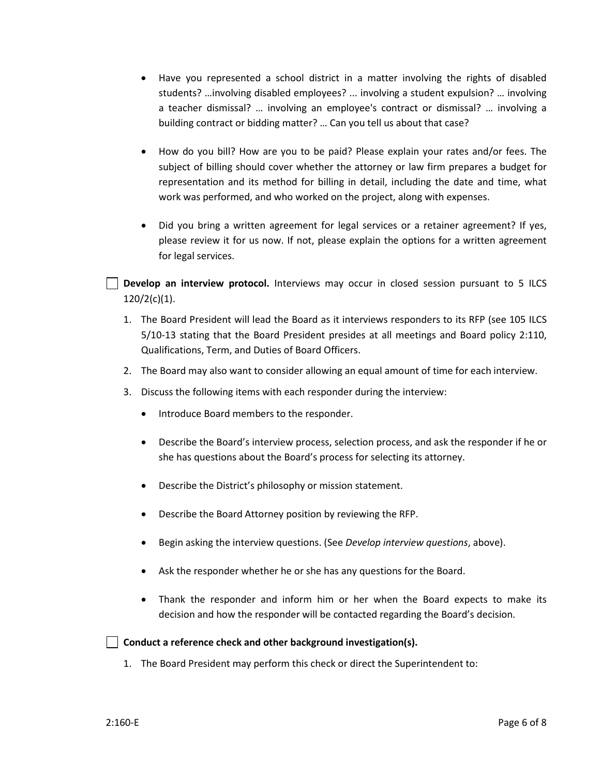- Have you represented a school district in a matter involving the rights of disabled students? …involving disabled employees? ... involving a student expulsion? … involving a teacher dismissal? … involving an employee's contract or dismissal? … involving a building contract or bidding matter? … Can you tell us about that case?
- How do you bill? How are you to be paid? Please explain your rates and/or fees. The subject of billing should cover whether the attorney or law firm prepares a budget for representation and its method for billing in detail, including the date and time, what work was performed, and who worked on the project, along with expenses.
- Did you bring a written agreement for legal services or a retainer agreement? If yes, please review it for us now. If not, please explain the options for a written agreement for legal services.

**Develop an interview protocol.** Interviews may occur in closed session pursuant to 5 ILCS 120/2(c)(1).

- 1. The Board President will lead the Board as it interviews responders to its RFP (see 105 ILCS 5/10-13 stating that the Board President presides at all meetings and Board policy 2:110, Qualifications, Term, and Duties of Board Officers.
- 2. The Board may also want to consider allowing an equal amount of time for each interview.
- 3. Discuss the following items with each responder during the interview:
	- Introduce Board members to the responder.
	- Describe the Board's interview process, selection process, and ask the responder if he or she has questions about the Board's process for selecting its attorney.
	- Describe the District's philosophy or mission statement.
	- Describe the Board Attorney position by reviewing the RFP.
	- Begin asking the interview questions. (See *Develop interview questions*, above).
	- Ask the responder whether he or she has any questions for the Board.
	- Thank the responder and inform him or her when the Board expects to make its decision and how the responder will be contacted regarding the Board's decision.

**Conduct a reference check and other background investigation(s).** 

1. The Board President may perform this check or direct the Superintendent to: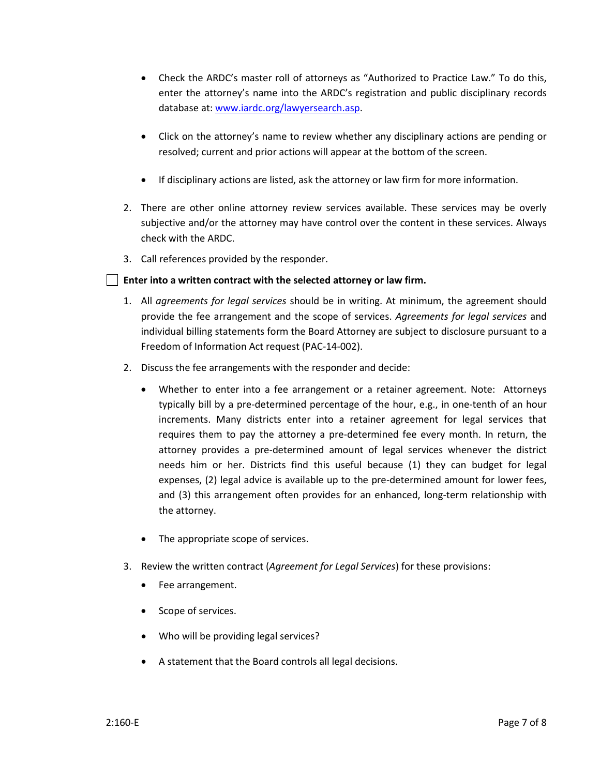- Check the ARDC's master roll of attorneys as "Authorized to Practice Law." To do this, enter the attorney's name into the ARDC's registration and public disciplinary records database at[: www.iardc.org/lawyersearch.asp.](http://www.iardc.org/lawyersearch.asp)
- Click on the attorney's name to review whether any disciplinary actions are pending or resolved; current and prior actions will appear at the bottom of the screen.
- If disciplinary actions are listed, ask the attorney or law firm for more information.
- 2. There are other online attorney review services available. These services may be overly subjective and/or the attorney may have control over the content in these services. Always check with the ARDC.
- 3. Call references provided by the responder.

## **Enter into a written contract with the selected attorney or law firm.**

- 1. All *agreements for legal services* should be in writing. At minimum, the agreement should provide the fee arrangement and the scope of services. *Agreements for legal services* and individual billing statements form the Board Attorney are subject to disclosure pursuant to a Freedom of Information Act request (PAC-14-002).
- 2. Discuss the fee arrangements with the responder and decide:
	- Whether to enter into a fee arrangement or a retainer agreement. Note: Attorneys typically bill by a pre-determined percentage of the hour, e.g., in one-tenth of an hour increments. Many districts enter into a retainer agreement for legal services that requires them to pay the attorney a pre-determined fee every month. In return, the attorney provides a pre-determined amount of legal services whenever the district needs him or her. Districts find this useful because (1) they can budget for legal expenses, (2) legal advice is available up to the pre-determined amount for lower fees, and (3) this arrangement often provides for an enhanced, long-term relationship with the attorney.
	- The appropriate scope of services.
- 3. Review the written contract (*Agreement for Legal Services*) for these provisions:
	- Fee arrangement.
	- Scope of services.
	- Who will be providing legal services?
	- A statement that the Board controls all legal decisions.